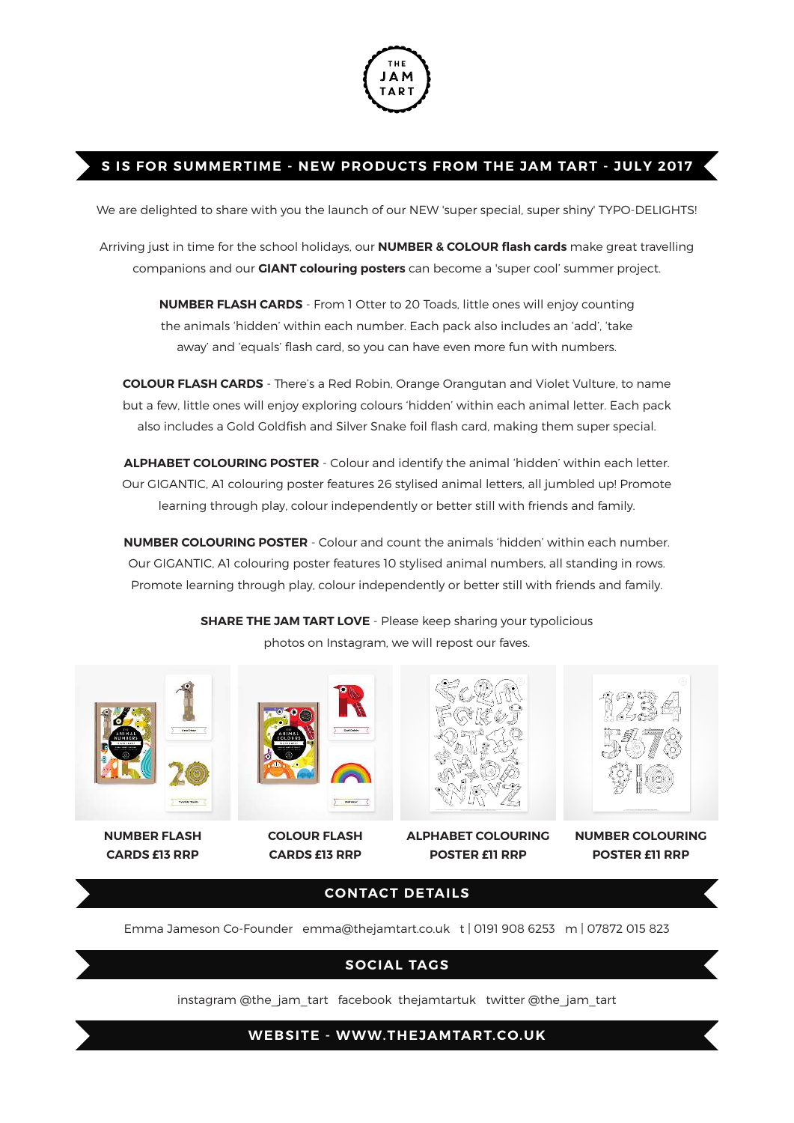

## **S IS FOR SUMMERTIME - NEW PRODUCTS FROM THE JAM TART - JULY 2017**

We are delighted to share with you the launch of our NEW 'super special, super shiny' TYPO-DELIGHTS!

Arriving just in time for the school holidays, our **NUMBER & COLOUR flash cards** make great travelling companions and our **GIANT colouring posters** can become a 'super cool' summer project.

> **NUMBER FLASH CARDS** - From 1 Otter to 20 Toads, little ones will enjoy counting the animals 'hidden' within each number. Each pack also includes an 'add', 'take away' and 'equals' flash card, so you can have even more fun with numbers.

**COLOUR FLASH CARDS** - There's a Red Robin, Orange Orangutan and Violet Vulture, to name but a few, little ones will enjoy exploring colours 'hidden' within each animal letter. Each pack also includes a Gold Goldfish and Silver Snake foil flash card, making them super special.

**ALPHABET COLOURING POSTER** - Colour and identify the animal 'hidden' within each letter. Our GIGANTIC, A1 colouring poster features 26 stylised animal letters, all jumbled up! Promote learning through play, colour independently or better still with friends and family.

**NUMBER COLOURING POSTER** - Colour and count the animals 'hidden' within each number. Our GIGANTIC, A1 colouring poster features 10 stylised animal numbers, all standing in rows. Promote learning through play, colour independently or better still with friends and family.

**SHARE THE JAM TART LOVE** - Please keep sharing your typolicious photos on Instagram, we will repost our faves.



**NUMBER FLASH CARDS £13 RRP**



**COLOUR FLASH CARDS £13 RRP**



**ALPHABET COLOURING POSTER £11 RRP**



**NUMBER COLOURING POSTER £11 RRP**

## **CONTACT DETAILS**

Emma Jameson Co-Founder emma@thejamtart.co.uk t | 0191 908 6253 m | 07872 015 823

## **SOCIAL TAGS**

instagram @the\_jam\_tart facebook thejamtartuk twitter @the\_jam\_tart

**WEBSITE - WWW.THEJAMTART.CO.UK**